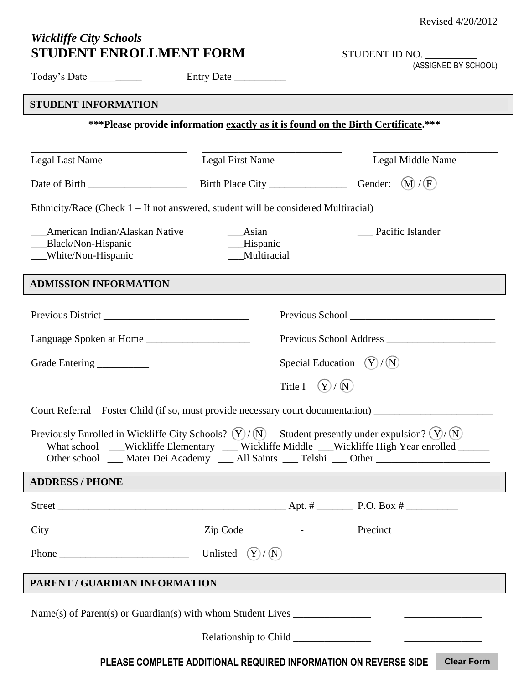## *Wickliffe City Schools* **STUDENT ENROLLMENT FORM**

| STUDENT ID NO. |
|----------------|
|----------------|

(ASSIGNED BY SCHOOL)

| Today's Date ________                                                                                                                                                                                                                                                                                                               |                              |                   |                     |
|-------------------------------------------------------------------------------------------------------------------------------------------------------------------------------------------------------------------------------------------------------------------------------------------------------------------------------------|------------------------------|-------------------|---------------------|
| <b>STUDENT INFORMATION</b>                                                                                                                                                                                                                                                                                                          |                              |                   |                     |
| *** Please provide information exactly as it is found on the Birth Certificate.***                                                                                                                                                                                                                                                  |                              |                   |                     |
|                                                                                                                                                                                                                                                                                                                                     |                              |                   |                     |
| <b>Legal Last Name</b>                                                                                                                                                                                                                                                                                                              | <b>Legal First Name</b>      |                   | Legal Middle Name   |
|                                                                                                                                                                                                                                                                                                                                     |                              |                   |                     |
| Ethnicity/Race (Check $1 - If$ not answered, student will be considered Multiracial)                                                                                                                                                                                                                                                |                              |                   |                     |
| American Indian/Alaskan Native                                                                                                                                                                                                                                                                                                      | $\_\_$ Asian                 |                   | __ Pacific Islander |
| ___Black/Non-Hispanic<br>__White/Non-Hispanic                                                                                                                                                                                                                                                                                       | __Hispanic<br>___Multiracial |                   |                     |
|                                                                                                                                                                                                                                                                                                                                     |                              |                   |                     |
| <b>ADMISSION INFORMATION</b>                                                                                                                                                                                                                                                                                                        |                              |                   |                     |
|                                                                                                                                                                                                                                                                                                                                     |                              |                   |                     |
|                                                                                                                                                                                                                                                                                                                                     |                              |                   |                     |
|                                                                                                                                                                                                                                                                                                                                     |                              |                   |                     |
| Special Education $(Y)/(N)$<br>Grade Entering ______________                                                                                                                                                                                                                                                                        |                              |                   |                     |
|                                                                                                                                                                                                                                                                                                                                     |                              | Title I $(Y)/(N)$ |                     |
| Court Referral – Foster Child (if so, must provide necessary court documentation) ________________________                                                                                                                                                                                                                          |                              |                   |                     |
| Previously Enrolled in Wickliffe City Schools? $(\hat{Y})/(\hat{N})$ Student presently under expulsion? $(\hat{Y})/(\hat{N})$<br>What school __Wickliffe Elementary __ Wickliffe Middle __Wickliffe High Year enrolled ____<br>Other school ___ Mater Dei Academy ___ All Saints ___ Telshi ___ Other _____________________________ |                              |                   |                     |
| <b>ADDRESS / PHONE</b>                                                                                                                                                                                                                                                                                                              |                              |                   |                     |
|                                                                                                                                                                                                                                                                                                                                     |                              |                   |                     |
|                                                                                                                                                                                                                                                                                                                                     |                              |                   |                     |
|                                                                                                                                                                                                                                                                                                                                     |                              |                   |                     |
| PARENT / GUARDIAN INFORMATION                                                                                                                                                                                                                                                                                                       |                              |                   |                     |
|                                                                                                                                                                                                                                                                                                                                     |                              |                   |                     |
|                                                                                                                                                                                                                                                                                                                                     |                              |                   |                     |

**PLEASE COMPLETE ADDITIONAL REQUIRED INFORMATION ON REVERSE SIDE Clear Form**